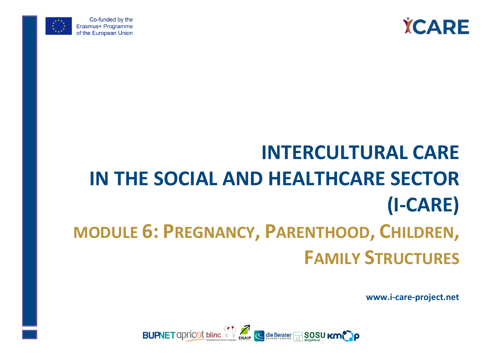



Co-funded by the Erasmus+ Programme of the European Union

# **INTERCULTURAL CARE IN THE SOCIAL AND HEALTHCARE SECTOR (I-CARE) MODULE 6: PREGNANCY, PARENTHOOD, CHILDREN, FAMILY STRUCTURES**

**www.i-care-project.net**

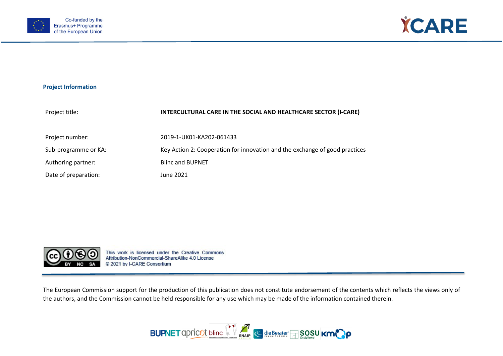



#### **Project Information**

| Project title:       | INTERCULTURAL CARE IN THE SOCIAL AND HEALTHCARE SECTOR (I-CARE)             |
|----------------------|-----------------------------------------------------------------------------|
| Project number:      | 2019-1-UK01-KA202-061433                                                    |
| Sub-programme or KA: | Key Action 2: Cooperation for innovation and the exchange of good practices |
| Authoring partner:   | <b>Blinc and BUPNET</b>                                                     |
| Date of preparation: | June 2021                                                                   |



This work is licensed under the Creative Commons Attribution-NonCommercial-ShareAlike 4.0 License @ 2021 by I-CARE Consortium

The European Commission support for the production of this publication does not constitute endorsement of the contents which reflects the views only of the authors, and the Commission cannot be held responsible for any use which may be made of the information contained therein.

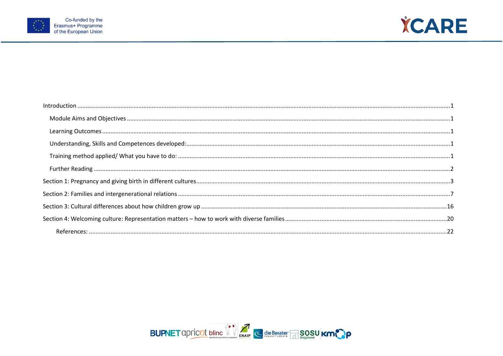



| $\small \textsf{Introduction} \,\, \ldots \,\, \ldots \,\, \ldots \,\, \ldots \,\, \ldots \,\, \ldots \,\, \ldots \,\, \ldots \,\, \ldots \,\, \ldots \,\, \ldots \,\, \ldots \,\, \ldots \,\, \ldots \,\, \ldots \,\, \ldots \,\, \ldots \,\, \ldots \,\, \ldots \,\, \ldots \,\, \ldots \,\, \ldots \,\, \ldots \,\, \ldots \,\, \ldots \,\, \ldots \,\, \ldots \,\, \ldots \,\, \ldots \,\, \ldots \,\, \ldots \,\, \ldots \,\, \ldots \,\, \ldots \,\, \ldots \,\$ |  |
|------------------------------------------------------------------------------------------------------------------------------------------------------------------------------------------------------------------------------------------------------------------------------------------------------------------------------------------------------------------------------------------------------------------------------------------------------------------------|--|
|                                                                                                                                                                                                                                                                                                                                                                                                                                                                        |  |
|                                                                                                                                                                                                                                                                                                                                                                                                                                                                        |  |
|                                                                                                                                                                                                                                                                                                                                                                                                                                                                        |  |
|                                                                                                                                                                                                                                                                                                                                                                                                                                                                        |  |
|                                                                                                                                                                                                                                                                                                                                                                                                                                                                        |  |
|                                                                                                                                                                                                                                                                                                                                                                                                                                                                        |  |
|                                                                                                                                                                                                                                                                                                                                                                                                                                                                        |  |
|                                                                                                                                                                                                                                                                                                                                                                                                                                                                        |  |
|                                                                                                                                                                                                                                                                                                                                                                                                                                                                        |  |
|                                                                                                                                                                                                                                                                                                                                                                                                                                                                        |  |

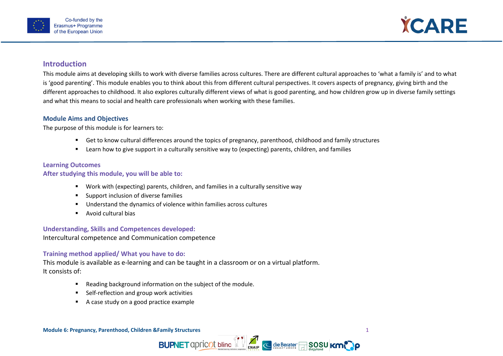

<span id="page-3-1"></span>

# <span id="page-3-0"></span>**Introduction**

This module aims at developing skills to work with diverse families across cultures. There are different cultural approaches to 'what a family is' and to what is 'good parenting'. This module enables you to think about this from different cultural perspectives. It covers aspects of pregnancy, giving birth and the different approaches to childhood. It also explores culturally different views of what is good parenting, and how children grow up in diverse family settings and what this means to social and health care professionals when working with these families.

#### **Module Aims and Objectives**

The purpose of this module is for learners to:

- Get to know cultural differences around the topics of pregnancy, parenthood, childhood and family structures
- **EXTERN** Learn how to give support in a culturally sensitive way to (expecting) parents, children, and families

#### <span id="page-3-2"></span>**Learning Outcomes**

#### **After studying this module, you will be able to:**

- Work with (expecting) parents, children, and families in a culturally sensitive way
- **Support inclusion of diverse families**
- Understand the dynamics of violence within families across cultures
- **Avoid cultural bias**

#### <span id="page-3-3"></span>**Understanding, Skills and Competences developed:**

<span id="page-3-4"></span>Intercultural competence and Communication competence

### **Training method applied/ What you have to do:**

This module is available as e-learning and can be taught in a classroom or on a virtual platform. It consists of:

- **Reading background information on the subject of the module.**
- Self-reflection and group work activities
- A case study on a good practice example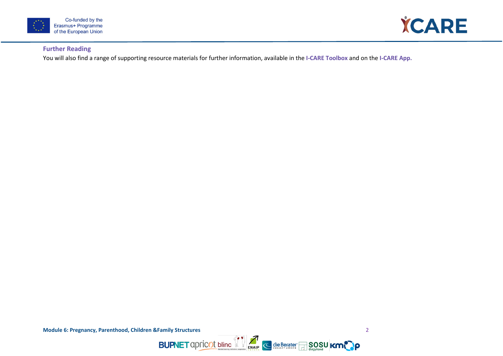



### <span id="page-4-0"></span>**Further Reading**

<span id="page-4-1"></span>You will also find a range of supporting resource materials for further information, available in the **I-CARE Toolbox** and on the **I-CARE App.**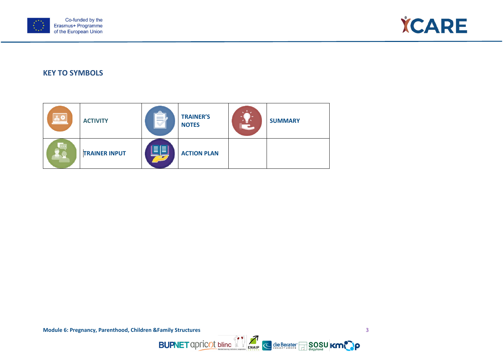



# **KEY TO SYMBOLS**

| <b>AO</b> | <b>ACTIVITY</b>      | ____<br>___ | <b>TRAINER'S</b><br><b>NOTES</b> | <b>SUMMARY</b> |
|-----------|----------------------|-------------|----------------------------------|----------------|
|           | <b>TRAINER INPUT</b> | ≣l≣i        | <b>ACTION PLAN</b>               |                |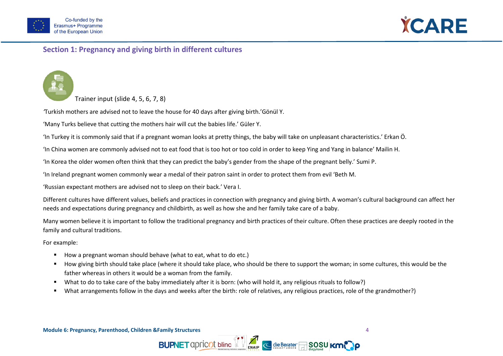



# **Section 1: Pregnancy and giving birth in different cultures**

### Trainer input (slide 4, 5, 6, 7, 8)

*'*Turkish mothers are advised not to leave the house for 40 days after giving birth.'Gönül Y.

'Many Turks believe that cutting the mothers hair will cut the babies life.' Güler Y.

'In Turkey it is commonly said that if a pregnant woman looks at pretty things, the baby will take on unpleasant characteristics.' Erkan Ö.

'In China women are commonly advised not to eat food that is too hot or too cold in order to keep Ying and Yang in balance' Mailin H.

'In Korea the older women often think that they can predict the baby's gender from the shape of the pregnant belly.' Sumi P.

'In Ireland pregnant women commonly wear a medal of their patron saint in order to protect them from evil 'Beth M.

'Russian expectant mothers are advised not to sleep on their back.' Vera I.

Different cultures have different values, beliefs and practices in connection with pregnancy and giving birth. A woman's cultural background can affect her needs and expectations during pregnancy and childbirth, as well as how she and her family take care of a baby.

Many women believe it is important to follow the traditional pregnancy and birth practices of their culture. Often these practices are deeply rooted in the family and cultural traditions.

For example:

- How a pregnant woman should behave (what to eat, what to do etc.)
- How giving birth should take place (where it should take place, who should be there to support the woman; in some cultures, this would be the father whereas in others it would be a woman from the family.
- What to do to take care of the baby immediately after it is born: (who will hold it, any religious rituals to follow?)
- What arrangements follow in the days and weeks after the birth: role of relatives, any religious practices, role of the grandmother?)



 $\overline{\mathbb{R}}$ SOSU KO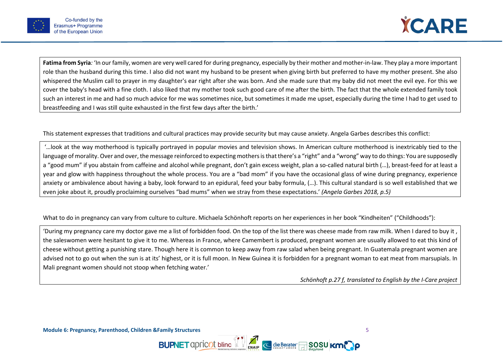



**Fatima from Syria***:* 'In our family, women are very well cared for during pregnancy, especially by their mother and mother-in-law. They play a more important role than the husband during this time. I also did not want my husband to be present when giving birth but preferred to have my mother present. She also whispered the Muslim call to prayer in my daughter's ear right after she was born. And she made sure that my baby did not meet the evil eye. For this we cover the baby's head with a fine cloth. I also liked that my mother took such good care of me after the birth. The fact that the whole extended family took such an interest in me and had so much advice for me was sometimes nice, but sometimes it made me upset, especially during the time I had to get used to breastfeeding and I was still quite exhausted in the first few days after the birth.'

This statement expresses that traditions and cultural practices may provide security but may cause anxiety. Angela Garbes describes this conflict:

'…look at the way motherhood is typically portrayed in popular movies and television shows. In American culture motherhood is inextricably tied to the language of morality. Over and over, the message reinforced to expecting mothers is that there's a "right" and a "wrong" way to do things: You are supposedly a "good mum" if you abstain from caffeine and alcohol while pregnant, don't gain excess weight, plan a so-called natural birth (…), breast-feed for at least a year and glow with happiness throughout the whole process. You are a "bad mom" if you have the occasional glass of wine during pregnancy, experience anxiety or ambivalence about having a baby, look forward to an epidural, feed your baby formula, (…). This cultural standard is so well established that we even joke about it, proudly proclaiming ourselves "bad mums" when we stray from these expectations.' *(Angela Garbes 2018, p.5)*

What to do in pregnancy can vary from culture to culture. Michaela Schönhoft reports on her experiences in her book "Kindheiten" ("Childhoods"):

'During my pregnancy care my doctor gave me a list of forbidden food. On the top of the list there was cheese made from raw milk. When I dared to buy it , the saleswomen were hesitant to give it to me. Whereas in France, where Camembert is produced, pregnant women are usually allowed to eat this kind of cheese without getting a punishing stare. Though here it is common to keep away from raw salad when being pregnant. In Guatemala pregnant women are advised not to go out when the sun is at its' highest, or it is full moon. In New Guinea it is forbidden for a pregnant woman to eat meat from marsupials. In Mali pregnant women should not stoop when fetching water.'

**BUPNET** apricot bline  $\left\{\right\}$  and  $\left\{\right\}$  die Berater and **SOSU** Km.

*Schönhoft p.27 f, translated to English by the I-Care project*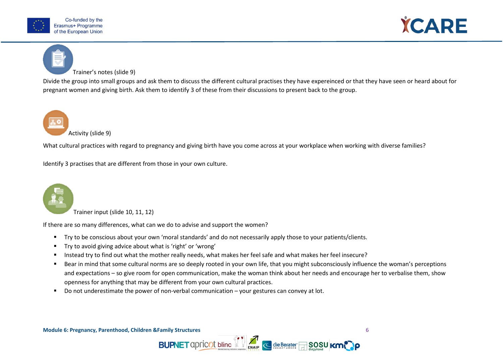



### Trainer's notes (slide 9)

Divide the group into small groups and ask them to discuss the different cultural practises they have expereinced or that they have seen or heard about for pregnant women and giving birth. Ask them to identify 3 of these from their discussions to present back to the group.



What cultural practices with regard to pregnancy and giving birth have you come across at your workplace when working with diverse families?

Identify 3 practises that are different from those in your own culture.



Trainer input (slide 10, 11, 12)

If there are so many differences, what can we do to advise and support the women?

- Try to be conscious about your own 'moral standards' and do not necessarily apply those to your patients/clients.
- Try to avoid giving advice about what is 'right' or 'wrong'
- Instead try to find out what the mother really needs, what makes her feel safe and what makes her feel insecure?
- Bear in mind that some cultural norms are so deeply rooted in your own life, that you might subconsciously influence the woman's perceptions and expectations – so give room for open communication, make the woman think about her needs and encourage her to verbalise them, show openness for anything that may be different from your own cultural practices.

**BUPNET** apricot bline  $\mathbb{Z}$   $\mathbb{Z}$  die Berater  $\Box$  SOSU KM

Do not underestimate the power of non-verbal communication – your gestures can convey at lot.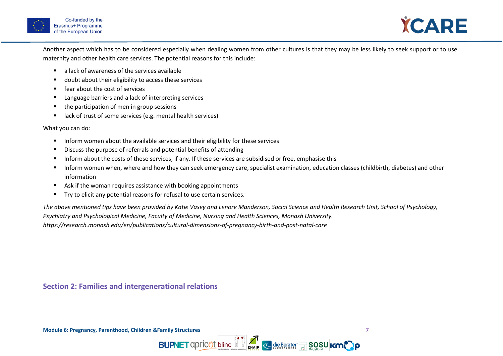



Another aspect which has to be considered especially when dealing women from other cultures is that they may be less likely to seek support or to use maternity and other health care services. The potential reasons for this include:

- a lack of awareness of the services available
- doubt about their eligibility to access these services
- fear about the cost of services
- Language barriers and a lack of interpreting services
- the participation of men in group sessions
- lack of trust of some services (e.g. mental health services)

What you can do:

- Inform women about the available services and their eligibility for these services
- Discuss the purpose of referrals and potential benefits of attending
- Inform about the costs of these services, if any. If these services are subsidised or free, emphasise this
- **Inform women when, where and how they can seek emergency care, specialist examination, education classes (childbirth, diabetes) and other** information
- Ask if the woman requires assistance with booking appointments
- Try to elicit any potential reasons for refusal to use certain services.

<span id="page-9-0"></span>*The above mentioned tips have been provided by Katie Vasey and Lenore Manderson, Social Science and Health Research Unit, School of Psychology, Psychiatry and Psychological Medicine, Faculty of Medicine, Nursing and Health Sciences, Monash University. https://research.monash.edu/en/publications/cultural-dimensions-of-pregnancy-birth-and-post-natal-care*

**BUPNET** apricot bline  $\sum_{\text{ENAP}}$  < die Berater BOSU KM

**Section 2: Families and intergenerational relations**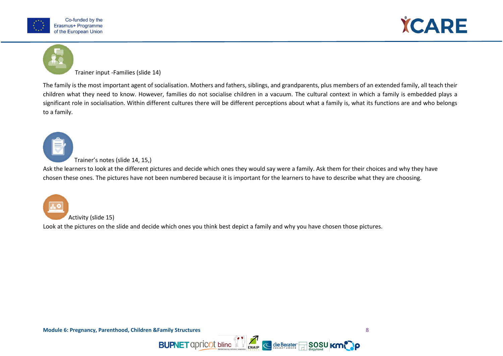



#### Trainer input -Families (slide 14)

The family is the most important agent of socialisation. Mothers and fathers, siblings, and grandparents, plus members of an extended family, all teach their children what they need to know. However, families do not socialise children in a vacuum. The cultural context in which a family is embedded plays a significant role in socialisation. Within different cultures there will be different perceptions about what a family is, what its functions are and who belongs to a family.



#### Trainer's notes (slide 14, 15,)

Ask the learners to look at the different pictures and decide which ones they would say were a family. Ask them for their choices and why they have chosen these ones. The pictures have not been numbered because it is important for the learners to have to describe what they are choosing.

**BUPNET** apricot bline  $\left\{\right\}$  and  $\left\{\right\}$  die Berater and **SOSU** Km.

Activity (slide 15)

Look at the pictures on the slide and decide which ones you think best depict a family and why you have chosen those pictures.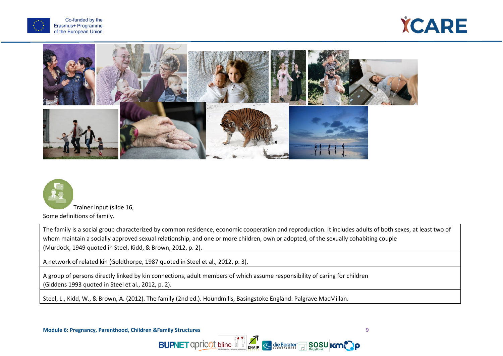







Trainer input (slide 16, Some definitions of family.

The family is a social group characterized by common residence, economic cooperation and reproduction. It includes adults of both sexes, at least two of whom maintain a socially approved sexual relationship, and one or more children, own or adopted, of the sexually cohabiting couple (Murdock, 1949 quoted in Steel, Kidd, & Brown, 2012, p. 2).

**BUPNET** apricot bline  $\left\{ \right\}$   $\left\{ \right\}$  eleberater and so su **km.** 

A network of related kin (Goldthorpe, 1987 quoted in Steel et al., 2012, p. 3).

A group of persons directly linked by kin connections, adult members of which assume responsibility of caring for children (Giddens 1993 quoted in Steel et al., 2012, p. 2).

Steel, L., Kidd, W., & Brown, A. (2012). The family (2nd ed.). Houndmills, Basingstoke England: Palgrave MacMillan.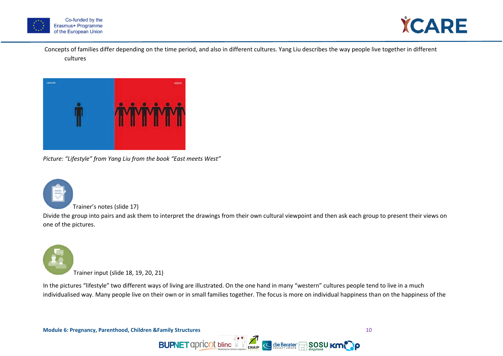



Concepts of families differ depending on the time period, and also in different cultures. Yang Liu describes the way people live together in different cultures



*Picture: "Lifestyle" from Yang Liu from the book "East meets West"*



#### Trainer's notes (slide 17)

Divide the group into pairs and ask them to interpret the drawings from their own cultural viewpoint and then ask each group to present their views on one of the pictures.



In the pictures "lifestyle" two different ways of living are illustrated. On the one hand in many "western" cultures people tend to live in a much individualised way. Many people live on their own or in small families together. The focus is more on individual happiness than on the happiness of the

< die Berater

**BUPNET** apricot bline VV

**Module 6: Pregnancy, Parenthood, Children &Family Structures** 10

SOSU KMP O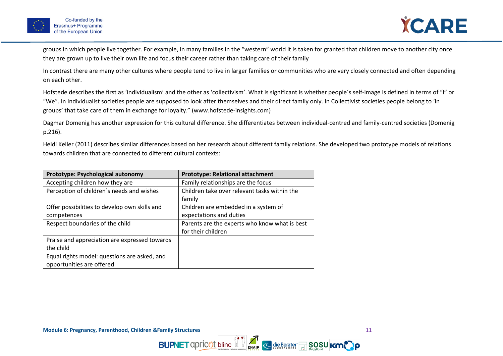



groups in which people live together. For example, in many families in the "western" world it is taken for granted that children move to another city once they are grown up to live their own life and focus their career rather than taking care of their family

In contrast there are many other cultures where people tend to live in larger families or communities who are very closely connected and often depending on each other.

Hofstede describes the first as 'individualism' and the other as 'collectivism'. What is significant is whether people´s self-image is defined in terms of "I" or "We". In Individualist societies people are supposed to look after themselves and their direct family only. In Collectivist societies people belong to 'in groups' that take care of them in exchange for loyalty." (www.hofstede-insights.com)

Dagmar Domenig has another expression for this cultural difference. She differentiates between individual-centred and family-centred societies (Domenig p.216).

Heidi Keller (2011) describes similar differences based on her research about different family relations. She developed two prototype models of relations towards children that are connected to different cultural contexts:

**BUPNET** apricot bline  $\sum_{k=1}^{n}$  e die Berater SOSU KMC ip

| Prototype: Psychological autonomy             | <b>Prototype: Relational attachment</b>       |
|-----------------------------------------------|-----------------------------------------------|
| Accepting children how they are               | Family relationships are the focus            |
| Perception of children's needs and wishes     | Children take over relevant tasks within the  |
|                                               | family                                        |
| Offer possibilities to develop own skills and | Children are embedded in a system of          |
| competences                                   | expectations and duties                       |
| Respect boundaries of the child               | Parents are the experts who know what is best |
|                                               | for their children                            |
| Praise and appreciation are expressed towards |                                               |
| the child                                     |                                               |
| Equal rights model: questions are asked, and  |                                               |
| opportunities are offered                     |                                               |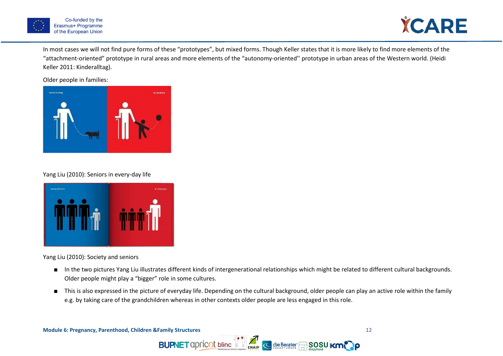



In most cases we will not find pure forms of these "prototypes", but mixed forms. Though Keller states that it is more likely to find more elements of the "attachment-oriented" prototype in rural areas and more elements of the "autonomy-oriented'' prototype in urban areas of the Western world. (Heidi Keller 2011: Kinderalltag).

Older people in families:



#### Yang Liu (2010): Seniors in every-day life



Yang Liu (2010): Society and seniors

- In the two pictures Yang Liu illustrates different kinds of intergenerational relationships which might be related to different cultural backgrounds. Older people might play a "bigger" role in some cultures.
- This is also expressed in the picture of everyday life. Depending on the cultural background, older people can play an active role within the family e.g. by taking care of the grandchildren whereas in other contexts older people are less engaged in this role.

 $\sum_{\text{ENAIP}}$ 

< die Berater

 $\overline{\Box}$ SOSU KM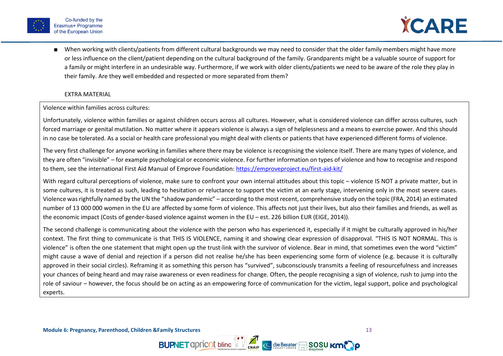



■ When working with clients/patients from different cultural backgrounds we may need to consider that the older family members might have more or less influence on the client/patient depending on the cultural background of the family. Grandparents might be a valuable source of support for a family or might interfere in an undesirable way. Furthermore, if we work with older clients/patients we need to be aware of the role they play in their family. Are they well embedded and respected or more separated from them?

#### EXTRA MATERIAL

#### Violence within families across cultures:

Unfortunately, violence within families or against children occurs across all cultures. However, what is considered violence can differ across cultures, such forced marriage or genital mutilation. No matter where it appears violence is always a sign of helplessness and a means to exercise power. And this should in no case be tolerated. As a social or health care professional you might deal with clients or patients that have experienced different forms of violence.

The very first challenge for anyone working in families where there may be violence is recognising the violence itself. There are many types of violence, and they are often "invisible" – for example psychological or economic violence. For further information on types of violence and how to recognise and respond to them, see the international First Aid Manual of Emprove Foundation:<https://emproveproject.eu/first-aid-kit/>

With regard cultural perceptions of violence, make sure to confront your own internal attitudes about this topic – violence IS NOT a private matter, but in some cultures, it is treated as such, leading to hesitation or reluctance to support the victim at an early stage, intervening only in the most severe cases. Violence was rightfully named by the UN the "shadow pandemic" – according to the most recent, comprehensive study on the topic (FRA, 2014) an estimated number of 13 000 000 women in the EU are affected by some form of violence. This affects not just their lives, but also their families and friends, as well as the economic impact (Costs of gender-based violence against women in the EU – est. 226 billion EUR (EIGE, 2014)).

The second challenge is communicating about the violence with the person who has experienced it, especially if it might be culturally approved in his/her context. The first thing to communicate is that THIS IS VIOLENCE, naming it and showing clear expression of disapproval. "THIS IS NOT NORMAL. This is violence" is often the one statement that might open up the trust-link with the survivor of violence. Bear in mind, that sometimes even the word "victim" might cause a wave of denial and rejection if a person did not realise he/she has been experiencing some form of violence (e.g. because it is culturally approved in their social circles). Reframing it as something this person has "survived", subconsciously transmits a feeling of resourcefulness and increases your chances of being heard and may raise awareness or even readiness for change. Often, the people recognising a sign of violence, rush to jump into the role of saviour – however, the focus should be on acting as an empowering force of communication for the victim, legal support, police and psychological experts.

**BUPNET** apricot bline  $\sum_{k=1}^{n}$  e die Berater SOSU KMC ip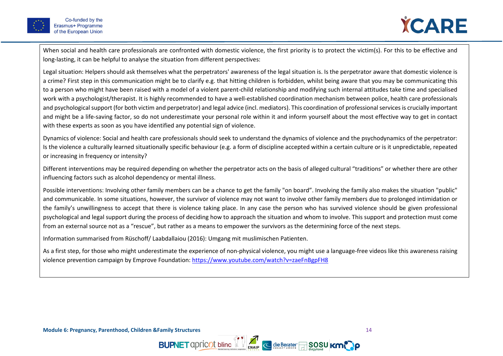

When social and health care professionals are confronted with domestic violence, the first priority is to protect the victim(s). For this to be effective and long-lasting, it can be helpful to analyse the situation from different perspectives:

Legal situation: Helpers should ask themselves what the perpetrators' awareness of the legal situation is. Is the perpetrator aware that domestic violence is a crime? First step in this communication might be to clarify e.g. that hitting children is forbidden, whilst being aware that you may be communicating this to a person who might have been raised with a model of a violent parent-child relationship and modifying such internal attitudes take time and specialised work with a psychologist/therapist. It is highly recommended to have a well-established coordination mechanism between police, health care professionals and psychological support (for both victim and perpetrator) and legal advice (incl. mediators). This coordination of professional services is crucially important and might be a life-saving factor, so do not underestimate your personal role within it and inform yourself about the most effective way to get in contact with these experts as soon as you have identified any potential sign of violence.

Dynamics of violence: Social and health care professionals should seek to understand the dynamics of violence and the psychodynamics of the perpetrator: Is the violence a culturally learned situationally specific behaviour (e.g. a form of discipline accepted within a certain culture or is it unpredictable, repeated or increasing in frequency or intensity?

Different interventions may be required depending on whether the perpetrator acts on the basis of alleged cultural "traditions" or whether there are other influencing factors such as alcohol dependency or mental illness.

Possible interventions: Involving other family members can be a chance to get the family "on board". Involving the family also makes the situation "public" and communicable. In some situations, however, the survivor of violence may not want to involve other family members due to prolonged intimidation or the family's unwillingness to accept that there is violence taking place. In any case the person who has survived violence should be given professional psychological and legal support during the process of deciding how to approach the situation and whom to involve. This support and protection must come from an external source not as a "rescue", but rather as a means to empower the survivors as the determining force of the next steps.

Information summarised from Rüschoff/ Laabdallaiou (2016): Umgang mit muslimischen Patienten.

As a first step, for those who might underestimate the experience of non-physical violence, you might use a language-free videos like this awareness raising violence prevention campaign by Emprove Foundation[: https://www.youtube.com/watch?v=zaeFnBgpFH8](https://www.youtube.com/watch?v=zaeFnBgpFH8)

**BUPNET** apricot bline  $\sum_{k=1}^{n}$  e die Berater SOSU KMC ip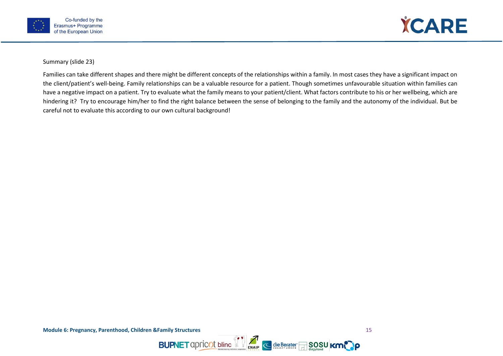



Summary (slide 23)

<span id="page-17-0"></span>Families can take different shapes and there might be different concepts of the relationships within a family. In most cases they have a significant impact on the client/patient's well-being. Family relationships can be a valuable resource for a patient. Though sometimes unfavourable situation within families can have a negative impact on a patient. Try to evaluate what the family means to your patient/client. What factors contribute to his or her wellbeing, which are hindering it? Try to encourage him/her to find the right balance between the sense of belonging to the family and the autonomy of the individual. But be careful not to evaluate this according to our own cultural background!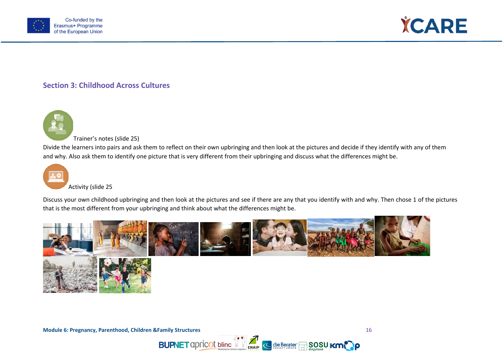



# **Section 3: Childhood Across Cultures**



Trainer's notes (slide 25)

Divide the learners into pairs and ask them to reflect on their own upbringing and then look at the pictures and decide if they identify with any of them and why. Also ask them to identify one picture that is very different from their upbringing and discuss what the differences might be.



Activity (slide 25

Discuss your own childhood upbringing and then look at the pictures and see if there are any that you identify with and why. Then chose 1 of the pictures that is the most different from your upbringing and think about what the differences might be.

**BUPNET** apricot bline **1** 



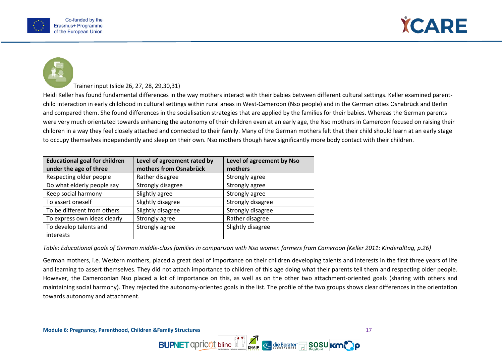





Trainer input (slide 26, 27, 28, 29,30,31)

Heidi Keller has found fundamental differences in the way mothers interact with their babies between different cultural settings. Keller examined parentchild interaction in early childhood in cultural settings within rural areas in West-Cameroon (Nso people) and in the German cities Osnabrück and Berlin and compared them. She found differences in the socialisation strategies that are applied by the families for their babies. Whereas the German parents were very much orientated towards enhancing the autonomy of their children even at an early age, the Nso mothers in Cameroon focused on raising their children in a way they feel closely attached and connected to their family. Many of the German mothers felt that their child should learn at an early stage to occupy themselves independently and sleep on their own. Nso mothers though have significantly more body contact with their children.

| <b>Educational goal for children</b> | Level of agreement rated by | Level of agreement by Nso |  |
|--------------------------------------|-----------------------------|---------------------------|--|
| under the age of three               | mothers from Osnabrück      | mothers                   |  |
| Respecting older people              | Rather disagree             | Strongly agree            |  |
| Do what elderly people say           | Strongly disagree           | Strongly agree            |  |
| Keep social harmony                  | Slightly agree              | Strongly agree            |  |
| To assert oneself                    | Slightly disagree           | Strongly disagree         |  |
| To be different from others          | Slightly disagree           | Strongly disagree         |  |
| To express own ideas clearly         | Strongly agree              | Rather disagree           |  |
| To develop talents and               | Strongly agree              | Slightly disagree         |  |
| interests                            |                             |                           |  |

*Table: Educational goals of German middle-class families in comparison with Nso women farmers from Cameroon (Keller 2011: Kinderalltag, p.26)*

German mothers, i.e. Western mothers, placed a great deal of importance on their children developing talents and interests in the first three years of life and learning to assert themselves. They did not attach importance to children of this age doing what their parents tell them and respecting older people. However, the Cameroonian Nso placed a lot of importance on this, as well as on the other two attachment-oriented goals (sharing with others and maintaining social harmony). They rejected the autonomy-oriented goals in the list. The profile of the two groups shows clear differences in the orientation towards autonomy and attachment.

**BUPNET** apricot bline  $\sum_{k=1}^{n}$  e die Berater SOSU KMC ip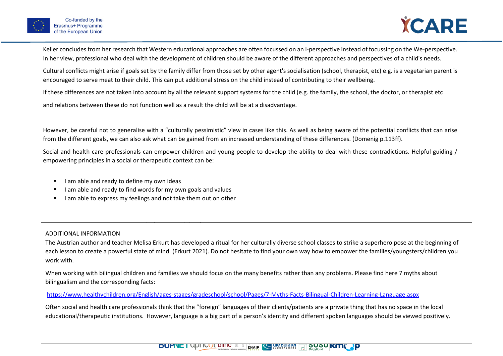

Keller concludes from her research that Western educational approaches are often focussed on an I-perspective instead of focussing on the We-perspective. In her view, professional who deal with the development of children should be aware of the different approaches and perspectives of a child's needs.

Cultural conflicts might arise if goals set by the family differ from those set by other agent's socialisation (school, therapist, etc) e.g. is a vegetarian parent is encouraged to serve meat to their child. This can put additional stress on the child instead of contributing to their wellbeing.

If these differences are not taken into account by all the relevant support systems for the child (e.g. the family, the school, the doctor, or therapist etc

and relations between these do not function well as a result the child will be at a disadvantage.

However, be careful not to generalise with a "culturally pessimistic" view in cases like this. As well as being aware of the potential conflicts that can arise from the different goals, we can also ask what can be gained from an increased understanding of these differences. (Domenig p.113ff).

Social and health care professionals can empower children and young people to develop the ability to deal with these contradictions. Helpful guiding / empowering principles in a social or therapeutic context can be:

- I am able and ready to define my own ideas
- I am able and ready to find words for my own goals and values
- I am able to express my feelings and not take them out on other

I can use my own initiative and take responsibility for my own actions

### ADDITIONAL INFORMATION

The Austrian author and teacher Melisa Erkurt has developed a ritual for her culturally diverse school classes to strike a superhero pose at the beginning of each lesson to create a powerful state of mind. (Erkurt 2021). Do not hesitate to find your own way how to empower the families/youngsters/children you work with.

When working with bilingual children and families we should focus on the many benefits rather than any problems. Please find here 7 myths about bilingualism and the corresponding facts:

## <https://www.healthychildren.org/English/ages-stages/gradeschool/school/Pages/7-Myths-Facts-Bilingual-Children-Learning-Language.aspx>

Often social and health care professionals think that the "foreign" languages of their clients/patients are a private thing that has no space in the local educational/therapeutic institutions. However, language is a big part of a person's identity and different spoken languages should be viewed positively.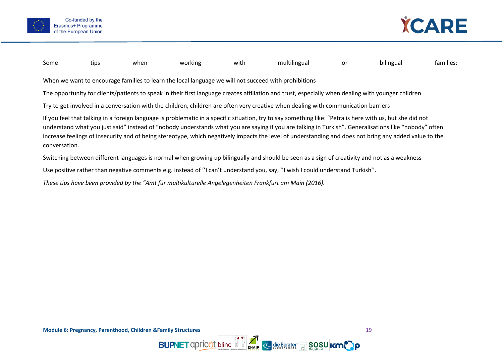



When we want to encourage families to learn the local language we will not succeed with prohibitions The opportunity for clients/patients to speak in their first language creates affiliation and trust, especially when dealing with younger children Try to get involved in a conversation with the children, children are often very creative when dealing with communication barriers If you feel that talking in a foreign language is problematic in a specific situation, try to say something like: "Petra is here with us, but she did not

Some tips when working with multilingual or bilingual families:

understand what you just said" instead of "nobody understands what you are saying if you are talking in Turkish". Generalisations like "nobody" often increase feelings of insecurity and of being stereotype, which negatively impacts the level of understanding and does not bring any added value to the conversation.

**BUPNET** apricot bline  $\sum_{\text{ENAP}}$  e die Berater **SOSU KM** 

Switching between different languages is normal when growing up bilingually and should be seen as a sign of creativity and not as a weakness

Use positive rather than negative comments e.g. instead of ''I can't understand you, say, ''I wish I could understand Turkish''.

*These tips have been provided by the "Amt für multikulturelle Angelegenheiten Frankfurt am Main (2016).*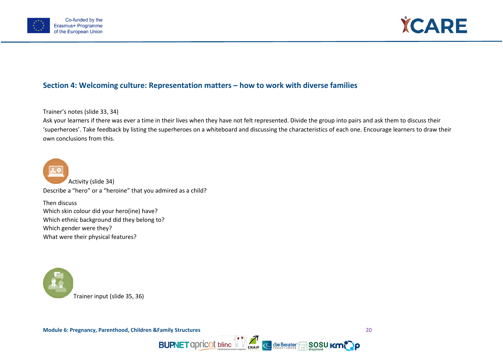



# <span id="page-22-0"></span>**Section 4: Welcoming culture: Representation matters – how to work with diverse families**

Trainer's notes (slide 33, 34)

Ask your learners if there was ever a time in their lives when they have not felt represented. Divide the group into pairs and ask them to discuss their 'superheroes'. Take feedback by listing the superheroes on a whiteboard and discussing the characteristics of each one. Encourage learners to draw their own conclusions from this.

**BUPNET** apricot bline **19 and C** die Berater **50SU KMC P** 



Activity (slide 34) Describe a "hero" or a "heroine" that you admired as a child?

Then discuss Which skin colour did your hero(ine) have? Which ethnic background did they belong to? Which gender were they? What were their physical features?

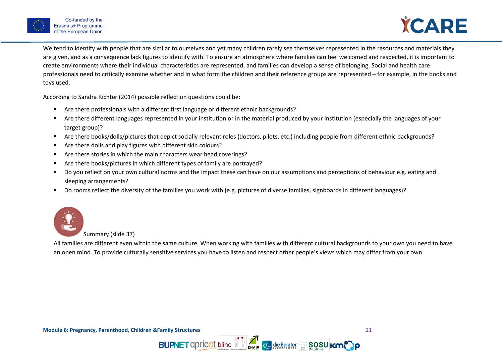



We tend to identify with people that are similar to ourselves and yet many children rarely see themselves represented in the resources and materials they are given, and as a consequence lack figures to identify with. To ensure an atmosphere where families can feel welcomed and respected, it is important to create environments where their individual characteristics are represented, and families can develop a sense of belonging. Social and health care professionals need to critically examine whether and in what form the children and their reference groups are represented – for example, in the books and toys used.

According to Sandra Richter (2014) possible reflection questions could be:

- Are there professionals with a different first language or different ethnic backgrounds?
- Are there different languages represented in your institution or in the material produced by your institution (especially the languages of your target group)?
- Are there books/dolls/pictures that depict socially relevant roles (doctors, pilots, etc.) including people from different ethnic backgrounds?
- Are there dolls and play figures with different skin colours?
- Are there stories in which the main characters wear head coverings?
- Are there books/pictures in which different types of family are portrayed?
- Do you reflect on your own cultural norms and the impact these can have on our assumptions and perceptions of behaviour e.g. eating and sleeping arrangements?
- Do rooms reflect the diversity of the families you work with (e.g. pictures of diverse families, signboards in different languages)?



Summary (slide 37)

All families are different even within the same culture. When working with families with different cultural backgrounds to your own you need to have an open mind. To provide culturally sensitive services you have to listen and respect other people's views which may differ from your own.

**BUPNET** apricot bline  $\mathbb{Z}$  **Exap C** die Berater A SOSU KI